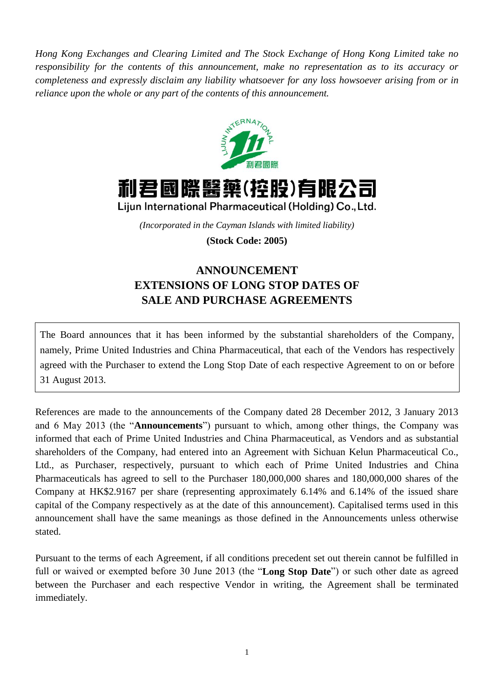*Hong Kong Exchanges and Clearing Limited and The Stock Exchange of Hong Kong Limited take no responsibility for the contents of this announcement, make no representation as to its accuracy or completeness and expressly disclaim any liability whatsoever for any loss howsoever arising from or in reliance upon the whole or any part of the contents of this announcement.*



利君國際醫藥(控股)有限公司 Lijun International Pharmaceutical (Holding) Co., Ltd.

*(Incorporated in the Cayman Islands with limited liability)* **(Stock Code: 2005)**

## **ANNOUNCEMENT EXTENSIONS OF LONG STOP DATES OF SALE AND PURCHASE AGREEMENTS**

The Board announces that it has been informed by the substantial shareholders of the Company, namely, Prime United Industries and China Pharmaceutical, that each of the Vendors has respectively agreed with the Purchaser to extend the Long Stop Date of each respective Agreement to on or before 31 August 2013.

References are made to the announcements of the Company dated 28 December 2012, 3 January 2013 and 6 May 2013 (the "**Announcements**") pursuant to which, among other things, the Company was informed that each of Prime United Industries and China Pharmaceutical, as Vendors and as substantial shareholders of the Company, had entered into an Agreement with Sichuan Kelun Pharmaceutical Co., Ltd., as Purchaser, respectively, pursuant to which each of Prime United Industries and China Pharmaceuticals has agreed to sell to the Purchaser 180,000,000 shares and 180,000,000 shares of the Company at HK\$2.9167 per share (representing approximately 6.14% and 6.14% of the issued share capital of the Company respectively as at the date of this announcement). Capitalised terms used in this announcement shall have the same meanings as those defined in the Announcements unless otherwise stated.

Pursuant to the terms of each Agreement, if all conditions precedent set out therein cannot be fulfilled in full or waived or exempted before 30 June 2013 (the "**Long Stop Date**") or such other date as agreed between the Purchaser and each respective Vendor in writing, the Agreement shall be terminated immediately.